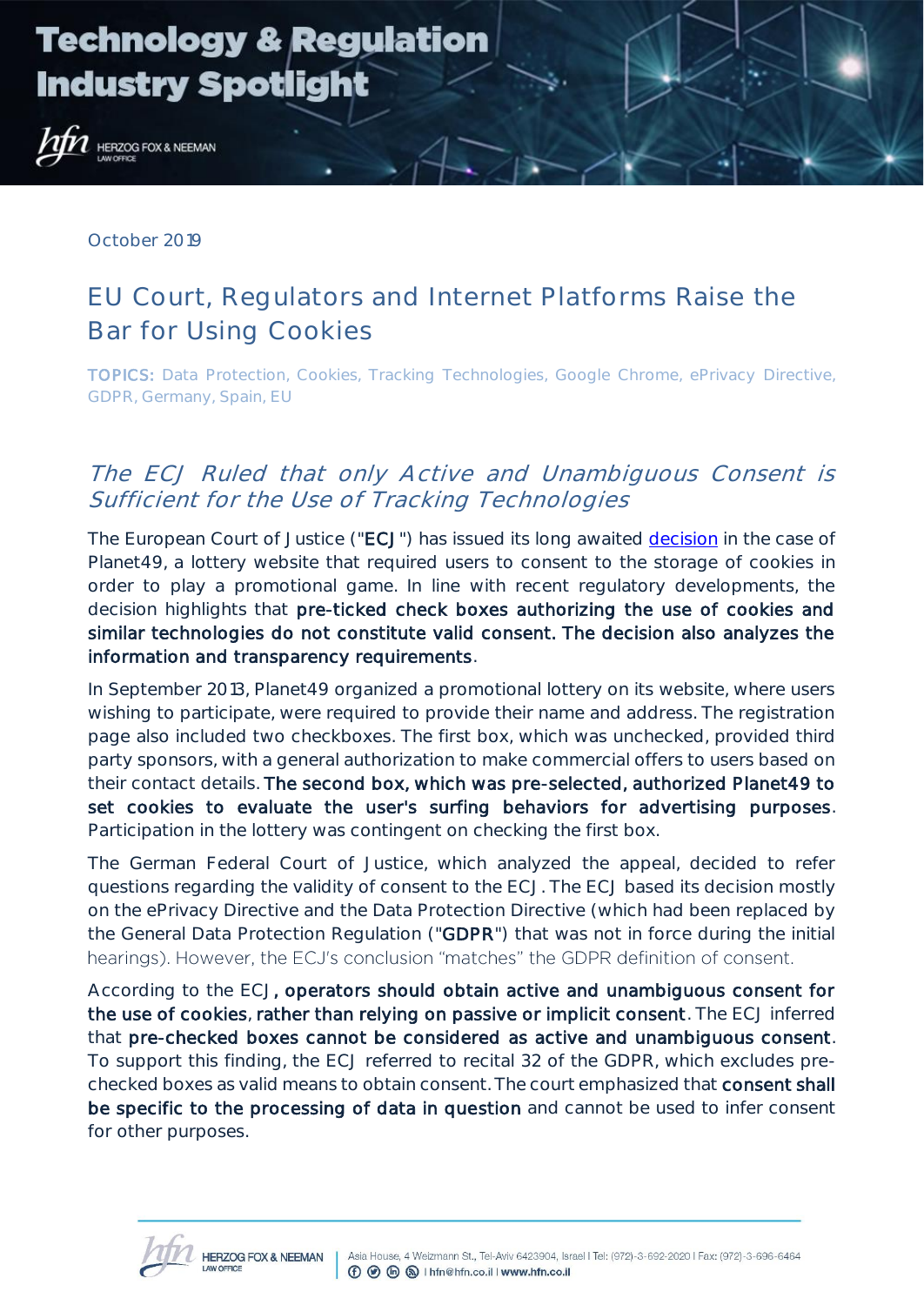

**HERZOG FOX & NEEMAN** 

October 2019

### EU Court, Regulators and Internet Platforms Raise the Bar for Using Cookies

TOPICS: Data Protection, Cookies, Tracking Technologies, Google Chrome, ePrivacy Directive, GDPR, Germany, Spain, EU

### The ECJ Ruled that only Active and Unambiguous Consent is Sufficient for the Use of Tracking Technologies

The European Court of Justice ("ECJ") has issued its long awaited [decision](http://curia.europa.eu/juris/document/document.jsf?text=&docid=218462&pageIndex=0&doclang=EN&mode=lst&dir=&occ=first&part=1&cid=7221429) in the case of Planet49, a lottery website that required users to consent to the storage of cookies in order to play a promotional game. In line with recent regulatory developments, the decision highlights that pre-ticked check boxes authorizing the use of cookies and similar technologies do not constitute valid consent. The decision also analyzes the information and transparency requirements.

In September 2013, Planet49 organized a promotional lottery on its website, where users wishing to participate, were required to provide their name and address. The registration page also included two checkboxes. The first box, which was unchecked, provided third party sponsors, with a general authorization to make commercial offers to users based on their contact details. The second box, which was pre-selected, authorized Planet49 to set cookies to evaluate the user's surfing behaviors for advertising purposes. Participation in the lottery was contingent on checking the first box.

The German Federal Court of Justice, which analyzed the appeal, decided to refer questions regarding the validity of consent to the ECJ. The ECJ based its decision mostly on the ePrivacy Directive and the Data Protection Directive (which had been replaced by the General Data Protection Regulation ("GDPR") that was not in force during the initial hearings). However, the ECJ's conclusion "matches" the GDPR definition of consent.

According to the ECJ, operators should obtain active and unambiguous consent for the use of cookies, rather than relying on passive or implicit consent. The ECJ inferred that pre-checked boxes cannot be considered as active and unambiguous consent. To support this finding, the ECJ referred to recital 32 of the GDPR, which excludes prechecked boxes as valid means to obtain consent. The court emphasized that consent shall be specific to the processing of data in question and cannot be used to infer consent for other purposes.

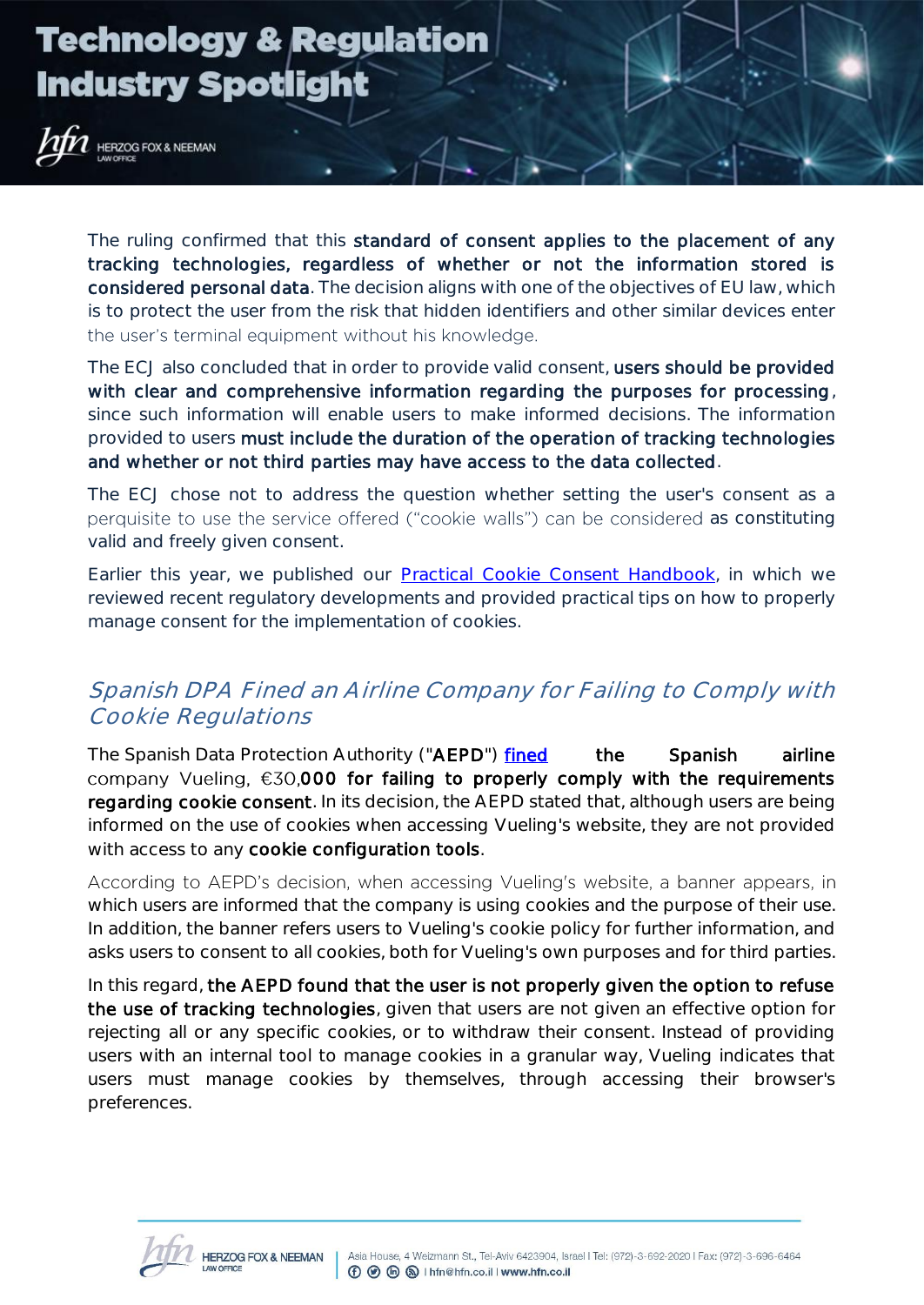# **Technology & Regulation Industry Spotlight**

**HERZOG FOX & NEEMAN** 

The ruling confirmed that this standard of consent applies to the placement of any tracking technologies, regardless of whether or not the information stored is considered personal data. The decision aligns with one of the objectives of EU law, which is to protect the user from the risk that hidden identifiers and other similar devices enter the user's terminal equipment without his knowledge.

The ECJ also concluded that in order to provide valid consent, users should be provided with clear and comprehensive information regarding the purposes for processing, since such information will enable users to make informed decisions. The information provided to users must include the duration of the operation of tracking technologies and whether or not third parties may have access to the data collected.

The ECJ chose not to address the question whether setting the user's consent as a perquisite to use the service offered ("cookie walls") can be considered as constituting valid and freely given consent.

Earlier this year, we published our [Practical Cookie Consent Handbook,](https://cdn-media.web-view.net/i/xtjtsh8h/Practical_Cookie_Consent_Handbook.pdf) in which we reviewed recent regulatory developments and provided practical tips on how to properly manage consent for the implementation of cookies.

### Spanish DPA Fined an Airline Company for Failing to Comply with Cookie Regulations

The Spanish Data Protection Authority ("AEPD") [fined](https://www.aepd.es/resoluciones/PS-00300-2019_ORI.pdf?utm_source=POLITICO.EU&utm_campaign=fc1f5e664f-EMAIL_CAMPAIGN_2019_10_17_04_52&utm_medium=email&utm_term=0_10959edeb5-fc1f5e664f-190359285) the Spanish airline company Vueling,  $\epsilon$ 30,000 for failing to properly comply with the requirements regarding cookie consent. In its decision, the AEPD stated that, although users are being informed on the use of cookies when accessing Vueling's website, they are not provided with access to any cookie configuration tools.

According to AEPD's decision, when accessing Vueling's website, a banner appears, in which users are informed that the company is using cookies and the purpose of their use. In addition, the banner refers users to Vueling's cookie policy for further information, and asks users to consent to all cookies, both for Vueling's own purposes and for third parties.

In this regard, the AEPD found that the user is not properly given the option to refuse the use of tracking technologies, given that users are not given an effective option for rejecting all or any specific cookies, or to withdraw their consent. Instead of providing users with an internal tool to manage cookies in a granular way, Vueling indicates that users must manage cookies by themselves, through accessing their browser's preferences.

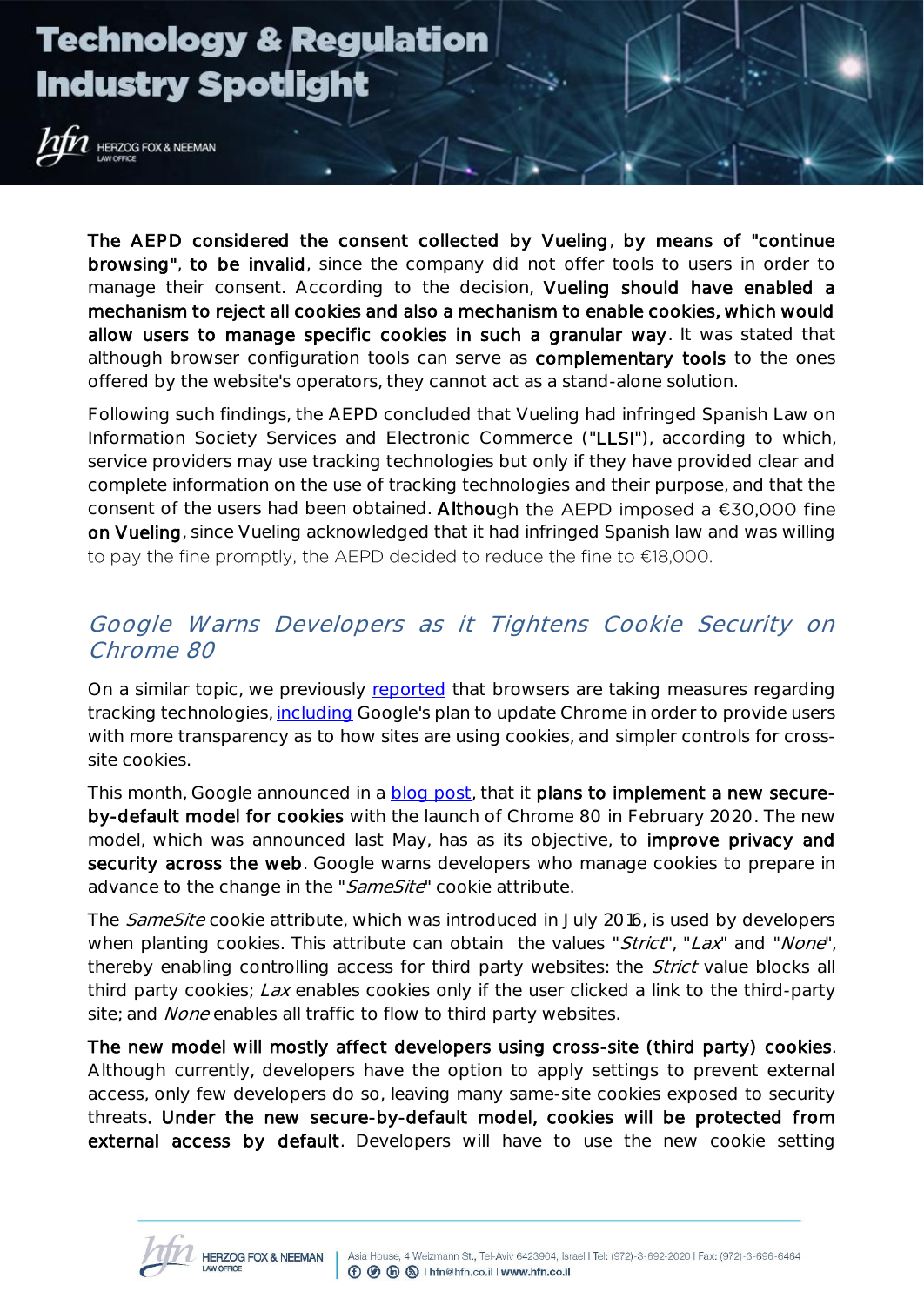# **Technology & Regulation Industry Spotlight**

**HERZOG FOX & NEEMAN** 

The AEPD considered the consent collected by Vueling, by means of "continue browsing", to be invalid, since the company did not offer tools to users in order to manage their consent. According to the decision, Vueling should have enabled a mechanism to reject all cookies and also a mechanism to enable cookies, which would allow users to manage specific cookies in such a granular way. It was stated that although browser configuration tools can serve as complementary tools to the ones offered by the website's operators, they cannot act as a stand-alone solution.

Following such findings, the AEPD concluded that Vueling had infringed Spanish Law on Information Society Services and Electronic Commerce ("LLSI"), according to which, service providers may use tracking technologies but only if they have provided clear and complete information on the use of tracking technologies and their purpose, and that the consent of the users had been obtained. Although the AEPD imposed a  $€30,000$  fine on Vueling, since Vueling acknowledged that it had infringed Spanish law and was willing to pay the fine promptly, the AEPD decided to reduce the fine to  $E$ 18,000.

### Google Warns Developers as it Tightens Cookie Security on Chrome 80

On a similar topic, we previously [reported](https://cdn-media.web-view.net/i/xtjtsh8h/Significant_Limitations_on_Cross-Site_Tracking_by_Apple_and_Google_5.pdf) that browsers are taking measures regarding tracking technologies, [including](https://cdn-media.web-view.net/i/xtjtsh8h/Significant_Limitations_on_Cross-Site_Tracking_by_Apple_and_Google_5.pdf) Google's plan to update Chrome in order to provide users with more transparency as to how sites are using cookies, and simpler controls for crosssite cookies.

This month, Google announced in a **blog post**, that it plans to implement a new secureby-default model for cookies with the launch of Chrome 80 in February 2020. The new model, which was announced last May, has as its objective, to improve privacy and security across the web. Google warns developers who manage cookies to prepare in advance to the change in the "SameSite" cookie attribute.

The SameSite cookie attribute, which was introduced in July 2016, is used by developers when planting cookies. This attribute can obtain the values "Strict", "Lax" and "None", thereby enabling controlling access for third party websites: the *Strict* value blocks all third party cookies; Lax enables cookies only if the user clicked a link to the third-party site; and *None* enables all traffic to flow to third party websites.

The new model will mostly affect developers using cross-site (third party) cookies. Although currently, developers have the option to apply settings to prevent external access, only few developers do so, leaving many same-site cookies exposed to security threats. Under the new secure-by-default model, cookies will be protected from external access by default. Developers will have to use the new cookie setting